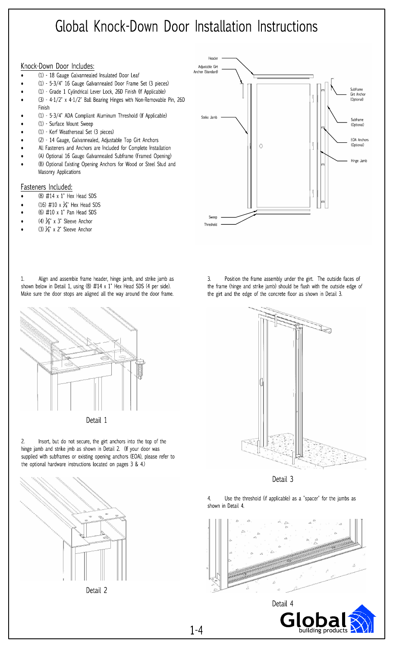# Global Knock-Down Door Installation Instructions

#### Knock-Down Door Includes:

- (1) 18 Gauge Galvannealed Insulated Door Leaf
- (1) 5-3/4" 16 Gauge Galvannealed Door Frame Set (3 pieces)
- (1) Grade 1 Cylindrical Lever Lock, 26D Finish (If Applicable)
- (3) 4-1/2" x 4-1/2" Ball Bearing Hinges with Non-Removable Pin, 26D Finish
- (1) 5-3/4" ADA Compliant Aluminum Threshold (If Applicable)
- (1) Surface Mount Sweep
- (1) Kerf Weatherseal Set (3 pieces)
- (2) 14 Gauge, Galvannealed, Adjustable Top Girt Anchors
- All Fasteners and Anchors are Included for Complete Installation
- (A) Optional 16 Gauge Galvannealed Subframe (Framed Opening)
- (B) Optional Existing Opening Anchors for Wood or Steel Stud and Masonry Applications

#### Fasteners Included:

- (8)  $\#14 \times 1$ " Hex Head SDS
- (16) #10 x  $\frac{3}{4}$ " Hex Head SDS
- (6) #10 x 1" Pan Head SDS
- (4)  $\frac{3}{8}$ " x 3" Sleeve Anchor
- (3)  $\frac{1}{4}$ " x 2" Sleeve Anchor







Insert, but do not secure, the girt anchors into the top of the  $2.$ hinge jamb and strike jmb as shown in Detail 2. (If your door was supplied with subframes or existing opening anchors (EOA), please refer to the optional hardware instructions located on pages 3 & 4.)







Position the frame assembly under the girt. The outside faces of  $\overline{3}$ . the frame (hinge and strike jamb) should be flush with the outside edge of the girt and the edge of the concrete floor as shown in Detail 3.



Detail 3

 $\overline{4}$ Use the threshold (if applicable) as a "spacer" for the jambs as shown in Detail 4.



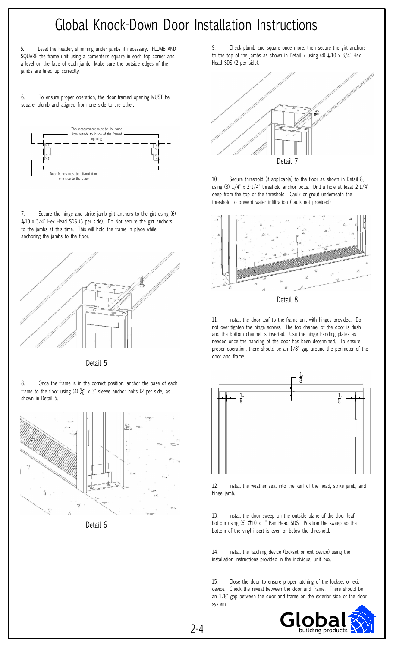## Global Knock-Down Door Installation Instructions

5. Level the header, shimming under jambs if necessary. PLUMB AND SQUARE the frame unit using a carpenter's square in each top corner and a level on the face of each jamb. Make sure the outside edges of the jambs are lined up correctly.

6. To ensure proper operation, the door framed opening MUST be square, plumb and aligned from one side to the other.



7. Secure the hinge and strike jamb girt anchors to the girt using (6) #10 x 3/4" Hex Head SDS (3 per side). Do Not secure the girt anchors to the jambs at this time. This will hold the frame in place while anchoring the jambs to the floor.



Detail 5

8. Once the frame is in the correct position, anchor the base of each frame to the floor using (4)  $\frac{2}{8}$ " x 3" sleeve anchor bolts (2 per side) as shown in Detail 5.



Detail 6

9. Check plumb and square once more, then secure the girt anchors to the top of the jambs as shown in Detail 7 using (4)  $\#10 \times 3/4$ " Hex Head SDS (2 per side).



10. Secure threshold (if applicable) to the floor as shown in Detail 8, using (3) 1/4" x 2-1/4" threshold anchor bolts. Drill a hole at least 2-1/4" deep from the top of the threshold. Caulk or grout underneath the threshold to prevent water infiltration (caulk not provided).



11. Install the door leaf to the frame unit with hinges provided. Do

not over-tighten the hinge screws. The top channel of the door is flush and the bottom channel is inverted. Use the hinge handing plates as needed once the handing of the door has been determined. To ensure proper operation, there should be an 1/8" gap around the perimeter of the door and frame.



12. Install the weather seal into the kerf of the head, strike jamb, and hinge jamb.

13. Install the door sweep on the outside plane of the door leaf bottom using (6) #10 x 1" Pan Head SDS. Position the sweep so the bottom of the vinyl insert is even or below the threshold.

14. Install the latching device (lockset or exit device) using the installation instructions provided in the individual unit box.

15. Close the door to ensure proper latching of the lockset or exit device. Check the reveal between the door and frame. There should be an 1/8" gap between the door and frame on the exterior side of the door system.

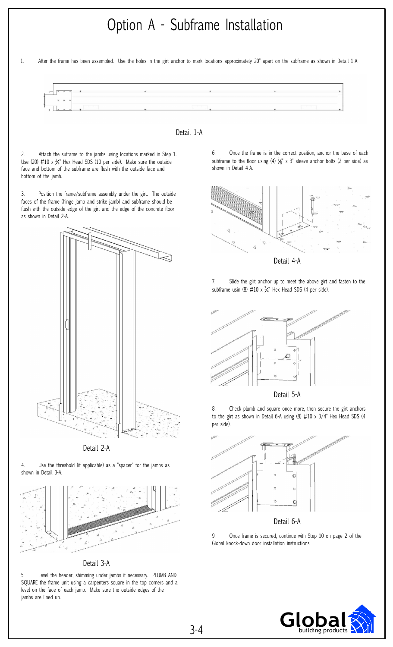### Option A - Subframe Installation

1. After the frame has been assembled. Use the holes in the girt anchor to mark locations approximately 20" apart on the subframe as shown in Detail 1-A.





2. Attach the suframe to the jambs using locations marked in Step 1. Use (20) #10 x ¾" Hex Head SDS (10 per side). Make sure the outside face and bottom of the subframe are flush with the outside face and bottom of the jamb.

3. Position the frame/subframe assembly under the girt. The outside faces of the frame (hinge jamb and strike jamb) and subframe should be flush with the outside edge of the girt and the edge of the concrete floor as shown in Detail 2-A.



Detail 2-A

4. Use the threshold (if applicable) as a "spacer" for the jambs as shown in Detail 3-A.



Detail 3-A

5. Level the header, shimming under jambs if necessary. PLUMB AND SQUARE the frame unit using a carpenters square in the top corners and a level on the face of each jamb. Make sure the outside edges of the jambs are lined up.

6. Once the frame is in the correct position, anchor the base of each subframe to the floor using (4)  $\frac{1}{26}$ " x 3" sleeve anchor bolts (2 per side) as shown in Detail 4-A.



Detail 4-A

7. Slide the girt anchor up to meet the above girt and fasten to the subframe usin (8)  $\#10 \times \frac{\mathcal{V}_4}{4}$  Hex Head SDS (4 per side).



Detail 5-A

8. Check plumb and square once more, then secure the girt anchors to the girt as shown in Detail 6-A using (8) #10 x 3/4" Hex Head SDS (4 per side).



Detail 6-A

9. Once frame is secured, continue with Step 10 on page 2 of the Global knock-down door installation instructions.